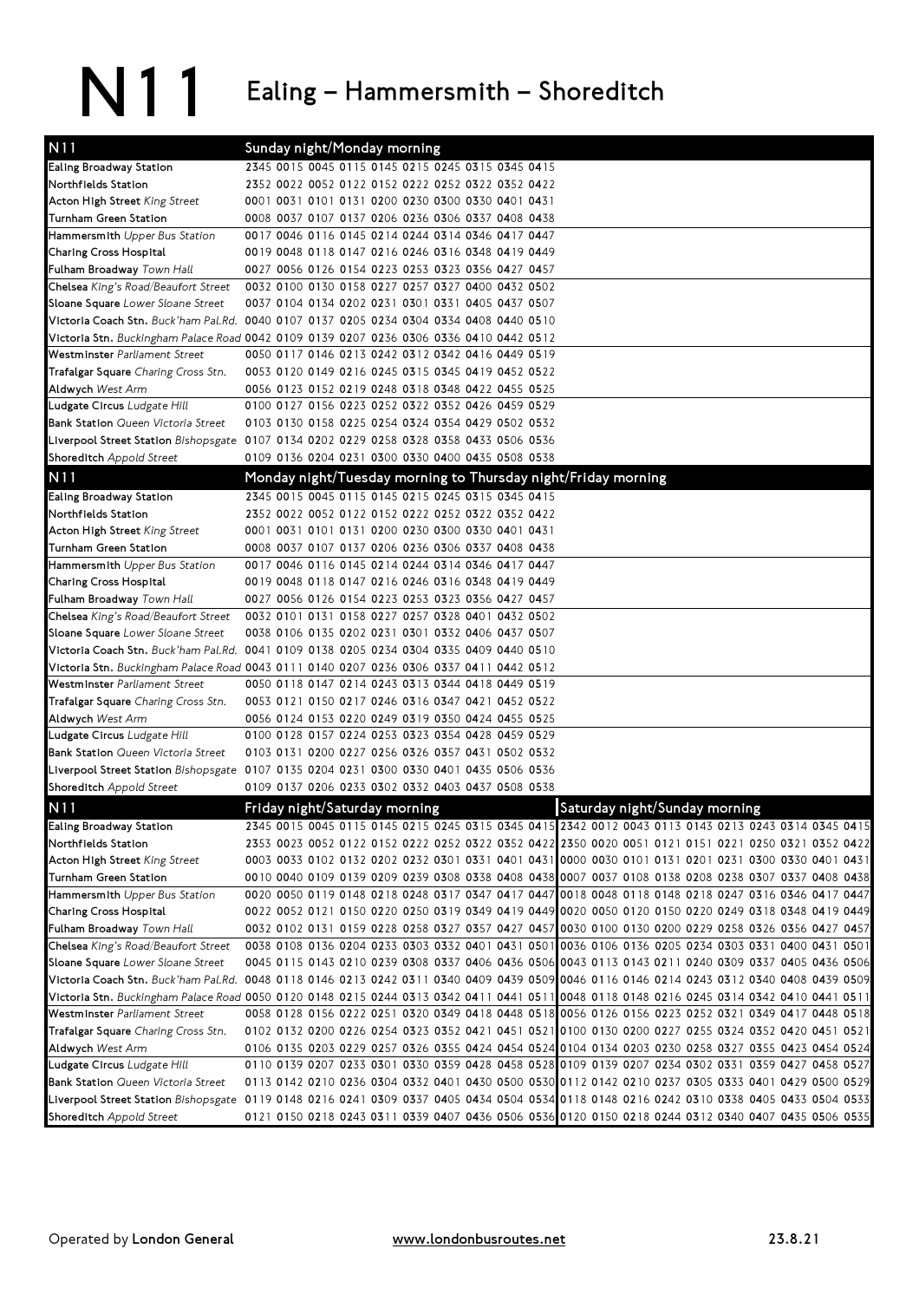## N11 Ealing – Hammersmith – Shoreditch

| N11                                                     | Sunday night/Monday morning                                                                                                                                                                                |
|---------------------------------------------------------|------------------------------------------------------------------------------------------------------------------------------------------------------------------------------------------------------------|
| Ealing Broadway Station                                 | 2345 0015 0045 0115 0145 0215 0245 0315 0345 0415                                                                                                                                                          |
| Northfields Station                                     | 2352 0022 0052 0122 0152 0222 0252 0322 0352 0422                                                                                                                                                          |
| Acton High Street King Street                           | 0001 0031 0101 0131 0200 0230 0300 0330 0401 0431                                                                                                                                                          |
| Turnham Green Station                                   | 0008 0037 0107 0137 0206 0236 0306 0337 0408 0438                                                                                                                                                          |
| Hammersmith Upper Bus Station                           | 0017 0046 0116 0145 0214 0244 0314 0346 0417 0447                                                                                                                                                          |
| Charing Cross Hospital                                  | 0019 0048 0118 0147 0216 0246 0316 0348 0419 0449                                                                                                                                                          |
| Fulham Broadway Town Hall                               | 0027 0056 0126 0154 0223 0253 0323 0356 0427 0457                                                                                                                                                          |
| Chelsea King's Road/Beaufort Street                     | 0032 0100 0130 0158 0227 0257 0327 0400 0432 0502                                                                                                                                                          |
| Sloane Square Lower Sloane Street                       | 0037 0104 0134 0202 0231 0301 0331 0405 0437 0507                                                                                                                                                          |
|                                                         | Victoria Coach Stn. Buck'ham Pal.Rd. 0040 0107 0137 0205 0234 0304 0334 0408 0440 0510                                                                                                                     |
|                                                         | Victoria Stn. Buckingham Palace Road 0042 0109 0139 0207 0236 0306 0336 0410 0442 0512                                                                                                                     |
| Westminster Parliament Street                           | 0050 0117 0146 0213 0242 0312 0342 0416 0449 0519                                                                                                                                                          |
| Trafalgar Square Charing Cross Stn.                     | 0053 0120 0149 0216 0245 0315 0345 0419 0452 0522                                                                                                                                                          |
| Aldwych West Arm                                        | 0056 0123 0152 0219 0248 0318 0348 0422 0455 0525                                                                                                                                                          |
| Ludgate Circus Ludgate Hill                             | 0100 0127 0156 0223 0252 0322 0352 0426 0459 0529                                                                                                                                                          |
| Bank Station Queen Victoria Street                      | 0103 0130 0158 0225 0254 0324 0354 0429 0502 0532                                                                                                                                                          |
|                                                         | Liverpool Street Station Bishopsgate 0107 0134 0202 0229 0258 0328 0358 0433 0506 0536                                                                                                                     |
| Shoreditch Appold Street                                | 0109 0136 0204 0231 0300 0330 0400 0435 0508 0538                                                                                                                                                          |
| N11                                                     | Monday night/Tuesday morning to Thursday night/Friday morning                                                                                                                                              |
| Ealing Broadway Station                                 | 2345 0015 0045 0115 0145 0215 0245 0315 0345 0415                                                                                                                                                          |
| Northfields Station                                     | 2352 0022 0052 0122 0152 0222 0252 0322 0352 0422                                                                                                                                                          |
| Acton High Street King Street                           | 0001 0031 0101 0131 0200 0230 0300 0330 0401 0431                                                                                                                                                          |
| Turnham Green Station                                   | 0008 0037 0107 0137 0206 0236 0306 0337 0408 0438                                                                                                                                                          |
| Hammersmith Upper Bus Station                           | 0017 0046 0116 0145 0214 0244 0314 0346 0417 0447                                                                                                                                                          |
| Charing Cross Hospital                                  | 0019 0048 0118 0147 0216 0246 0316 0348 0419 0449                                                                                                                                                          |
| Fulham Broadway Town Hall                               | 0027 0056 0126 0154 0223 0253 0323 0356 0427 0457                                                                                                                                                          |
| Chelsea King's Road/Beaufort Street                     | 0032 0101 0131 0158 0227 0257 0328 0401 0432 0502                                                                                                                                                          |
| Sloane Square Lower Sloane Street                       | 0038 0106 0135 0202 0231 0301 0332 0406 0437 0507                                                                                                                                                          |
|                                                         | Victoria Coach Stn. Buck'ham Pal.Rd. 0041 0109 0138 0205 0234 0304 0335 0409 0440 0510                                                                                                                     |
|                                                         | Victoria Stn. Buckingham Palace Road 0043 0111 0140 0207 0236 0306 0337 0411 0442 0512                                                                                                                     |
| Westminster Parliament Street                           | 0050 0118 0147 0214 0243 0313 0344 0418 0449 0519                                                                                                                                                          |
| Trafalgar Square Charing Cross Stn.                     | 0053 0121 0150 0217 0246 0316 0347 0421 0452 0522                                                                                                                                                          |
| Aldwych West Arm<br>Ludgate Circus Ludgate Hill         | 0056 0124 0153 0220 0249 0319 0350 0424 0455 0525<br>0100 0128 0157 0224 0253 0323 0354 0428 0459 0529                                                                                                     |
| Bank Station Queen Victoria Street                      | 0103 0131 0200 0227 0256 0326 0357 0431 0502 0532                                                                                                                                                          |
|                                                         | Liverpool Street Station Bishopsgate 0107 0135 0204 0231 0300 0330 0401 0435 0506 0536                                                                                                                     |
| Shoreditch Appold Street                                | 0109 0137 0206 0233 0302 0332 0403 0437 0508 0538                                                                                                                                                          |
|                                                         |                                                                                                                                                                                                            |
| N11                                                     | Saturday night/Sunday morning<br>Friday night/Saturday morning                                                                                                                                             |
| Ealing Broadway Station                                 | 2345 0015 0045 0115 0145 0215 0245 0315 0345 0415 2342 0012 0043 0113 0143 0213 0243 0314 0345 0415                                                                                                        |
| Northfields Station                                     | 2353 0023 0052 0122 0152 0222 0252 0322 0352 0422 2350 0020 0051 0121 0151 0221 0250 0321 0352 0422                                                                                                        |
| Acton High Street King Street                           | 0003 0033 0102 0132 0202 0232 0301 0331 0401 0431 0000 0030 0101 0131 0201 0231 0300 0330 0401 0431                                                                                                        |
| Turnham Green Station                                   | 0010 0040 0109 0139 0209 0239 0308 0338 0408 0438 0007 0037 0108 0138 0208 0238 0307 0337 0408 0438                                                                                                        |
| Hammersmith Upper Bus Station<br>Charing Cross Hospital | 0020 0050 0119 0148 0218 0248 0317 0347 0417 0447 0018 0048 0118 0148 0218 0247 0316 0346 0417 0447<br>0022 0052 0121 0150 0220 0250 0319 0349 0419 0449 0020 0050 0120 0150 0220 0249 0318 0348 0419 0449 |
| Fulham Broadway Town Hall                               | 0032 0102 0131 0159 0228 0258 0327 0357 0427 0457 0030 0100 0130 0200 0229 0258 0326 0356 0427 0457                                                                                                        |
| Chelsea King's Road/Beaufort Street                     | 0038 0108 0136 0204 0233 0303 0332 0401 0431 0501 0036 0106 0136 0205 0234 0303 0331 0400 0431 0501                                                                                                        |
| Sloane Square Lower Sloane Street                       | 0045 0115 0143 0210 0239 0308 0337 0406 0436 0506 0043 0113 0143 0211 0240 0309 0337 0405 0436 0506                                                                                                        |
|                                                         | Victoria Coach Stn. Buck'ham Pal.Rd. 0048 0118 0146 0213 0242 0311 0340 0409 0439 0509 0046 0116 0146 0214 0243 0312 0340 0408 0439 0509                                                                   |
|                                                         | Victoria Stn. Buckingham Palace Road 0050 0120 0148 0215 0244 0313 0342 0411 0441 0511 0048 0118 0148 0216 0245 0314 0342 0410 0441 0511                                                                   |
| Westminster Parliament Street                           | 0058 0128 0156 0222 0251 0320 0349 0418 0448 0518 0056 0126 0156 0223 0252 0321 0349 0417 0448 0518                                                                                                        |
| Trafalgar Square Charing Cross Stn.                     | 0102 0132 0200 0226 0254 0323 0352 0421 0451 0521 0100 0130 0200 0227 0255 0324 0352 0420 0451 0521                                                                                                        |
| Aldwych West Arm                                        | 0106 0135 0203 0229 0257 0326 0355 0424 0454 0524 0104 0134 0203 0230 0258 0327 0355 0423 0454 0524                                                                                                        |
| Ludgate Circus Ludgate Hill                             | 0110 0139 0207 0233 0301 0330 0359 0428 0458 0528 0109 0139 0207 0234 0302 0331 0359 0427 0458 0527                                                                                                        |
| Bank Station Queen Victoria Street                      | 0113 0142 0210 0236 0304 0332 0401 0430 0500 0530 0112 0142 0210 0237 0305 0333 0401 0429 0500 0529                                                                                                        |
|                                                         | Liverpool Street Station Bishopsgate 0119 0148 0216 0241 0309 0337 0405 0434 0504 0534 0118 0148 0216 0242 0310 0338 0405 0433 0504 0533                                                                   |
| Shoreditch Appold Street                                | 0121 0150 0218 0243 0311 0339 0407 0436 0506 0536 0120 0150 0218 0244 0312 0340 0407 0435 0506 0535                                                                                                        |
|                                                         |                                                                                                                                                                                                            |